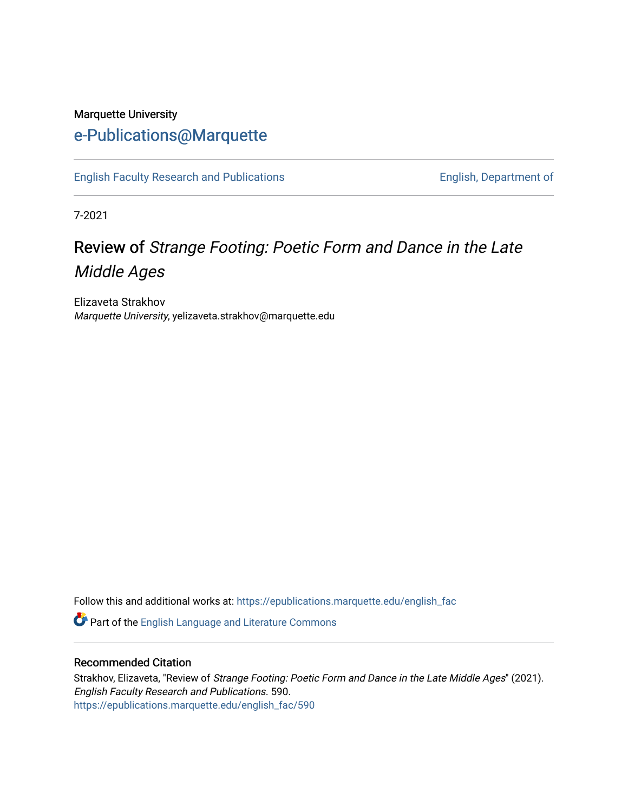## Marquette University [e-Publications@Marquette](https://epublications.marquette.edu/)

[English Faculty Research and Publications](https://epublications.marquette.edu/english_fac) **English, Department of** English, Department of

7-2021

# Review of Strange Footing: Poetic Form and Dance in the Late Middle Ages

Elizaveta Strakhov Marquette University, yelizaveta.strakhov@marquette.edu

Follow this and additional works at: [https://epublications.marquette.edu/english\\_fac](https://epublications.marquette.edu/english_fac?utm_source=epublications.marquette.edu%2Fenglish_fac%2F590&utm_medium=PDF&utm_campaign=PDFCoverPages)

Part of the [English Language and Literature Commons](https://network.bepress.com/hgg/discipline/455?utm_source=epublications.marquette.edu%2Fenglish_fac%2F590&utm_medium=PDF&utm_campaign=PDFCoverPages)

#### Recommended Citation

Strakhov, Elizaveta, "Review of Strange Footing: Poetic Form and Dance in the Late Middle Ages" (2021). English Faculty Research and Publications. 590. [https://epublications.marquette.edu/english\\_fac/590](https://epublications.marquette.edu/english_fac/590?utm_source=epublications.marquette.edu%2Fenglish_fac%2F590&utm_medium=PDF&utm_campaign=PDFCoverPages)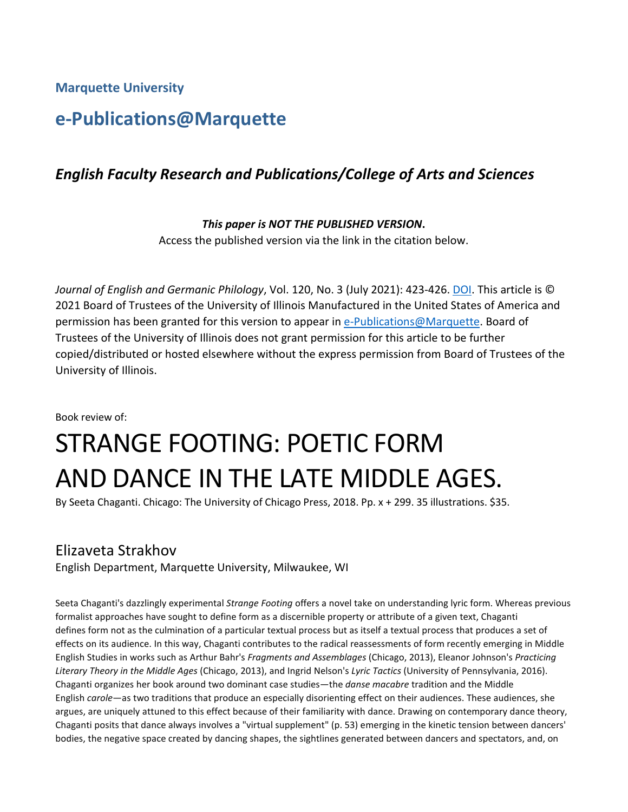**Marquette University**

# **e-Publications@Marquette**

#### *English Faculty Research and Publications/College of Arts and Sciences*

*This paper is NOT THE PUBLISHED VERSION***.** 

Access the published version via the link in the citation below.

*Journal of English and Germanic Philology*, Vol. 120, No. 3 (July 2021): 423-426. [DOI.](http://dx.doi.org/10.5406/jenglgermphil.120.3.0423) This article is © 2021 Board of Trustees of the University of Illinois Manufactured in the United States of America and permission has been granted for this version to appear in [e-Publications@Marquette.](http://epublications.marquette.edu/) Board of Trustees of the University of Illinois does not grant permission for this article to be further copied/distributed or hosted elsewhere without the express permission from Board of Trustees of the University of Illinois.

Book review of:

# STRANGE FOOTING: POETIC FORM AND DANCE IN THE LATE MIDDLE AGES.<br>By Seeta Chaganti. Chicago: The University of Chicago Press, 2018. Pp. x + 299. 35 illustrations. \$35.

### Elizaveta Strakhov

English Department, Marquette University, Milwaukee, WI

Seeta Chaganti's dazzlingly experimental *Strange Footing* offers a novel take on understanding lyric form. Whereas previous formalist approaches have sought to define form as a discernible property or attribute of a given text, Chaganti defines form not as the culmination of a particular textual process but as itself a textual process that produces a set of effects on its audience. In this way, Chaganti contributes to the radical reassessments of form recently emerging in Middle English Studies in works such as Arthur Bahr's *Fragments and Assemblages* (Chicago, 2013), Eleanor Johnson's *Practicing Literary Theory in the Middle Ages* (Chicago, 2013), and Ingrid Nelson's *Lyric Tactics* (University of Pennsylvania, 2016). Chaganti organizes her book around two dominant case studies—the *danse macabre* tradition and the Middle English *carole*—as two traditions that produce an especially disorienting effect on their audiences. These audiences, she argues, are uniquely attuned to this effect because of their familiarity with dance. Drawing on contemporary dance theory, Chaganti posits that dance always involves a "virtual supplement" (p. 53) emerging in the kinetic tension between dancers' bodies, the negative space created by dancing shapes, the sightlines generated between dancers and spectators, and, on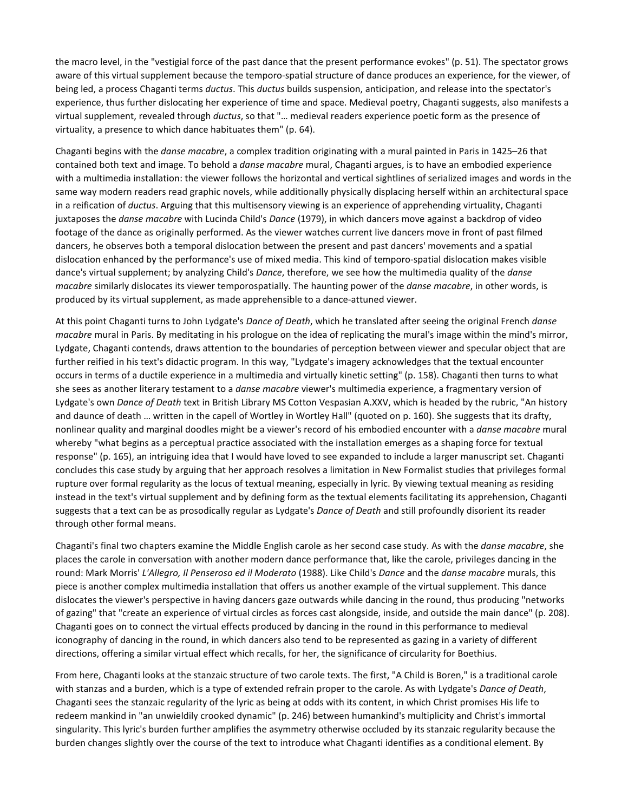the macro level, in the "vestigial force of the past dance that the present performance evokes" (p. 51). The spectator grows aware of this virtual supplement because the temporo-spatial structure of dance produces an experience, for the viewer, of being led, a process Chaganti terms *ductus*. This *ductus* builds suspension, anticipation, and release into the spectator's experience, thus further dislocating her experience of time and space. Medieval poetry, Chaganti suggests, also manifests a virtual supplement, revealed through *ductus*, so that "… medieval readers experience poetic form as the presence of virtuality, a presence to which dance habituates them" (p. 64).

Chaganti begins with the *danse macabre*, a complex tradition originating with a mural painted in Paris in 1425–26 that contained both text and image. To behold a *danse macabre* mural, Chaganti argues, is to have an embodied experience with a multimedia installation: the viewer follows the horizontal and vertical sightlines of serialized images and words in the same way modern readers read graphic novels, while additionally physically displacing herself within an architectural space in a reification of *ductus*. Arguing that this multisensory viewing is an experience of apprehending virtuality, Chaganti juxtaposes the *danse macabre* with Lucinda Child's *Dance* (1979), in which dancers move against a backdrop of video footage of the dance as originally performed. As the viewer watches current live dancers move in front of past filmed dancers, he observes both a temporal dislocation between the present and past dancers' movements and a spatial dislocation enhanced by the performance's use of mixed media. This kind of temporo-spatial dislocation makes visible dance's virtual supplement; by analyzing Child's *Dance*, therefore, we see how the multimedia quality of the *danse macabre* similarly dislocates its viewer temporospatially. The haunting power of the *danse macabre*, in other words, is produced by its virtual supplement, as made apprehensible to a dance-attuned viewer.

At this point Chaganti turns to John Lydgate's *Dance of Death*, which he translated after seeing the original French *danse macabre* mural in Paris. By meditating in his prologue on the idea of replicating the mural's image within the mind's mirror, Lydgate, Chaganti contends, draws attention to the boundaries of perception between viewer and specular object that are further reified in his text's didactic program. In this way, "Lydgate's imagery acknowledges that the textual encounter occurs in terms of a ductile experience in a multimedia and virtually kinetic setting" (p. 158). Chaganti then turns to what she sees as another literary testament to a *danse macabre* viewer's multimedia experience, a fragmentary version of Lydgate's own *Dance of Death* text in British Library MS Cotton Vespasian A.XXV, which is headed by the rubric, "An history and daunce of death … written in the capell of Wortley in Wortley Hall" (quoted on p. 160). She suggests that its drafty, nonlinear quality and marginal doodles might be a viewer's record of his embodied encounter with a *danse macabre* mural whereby "what begins as a perceptual practice associated with the installation emerges as a shaping force for textual response" (p. 165), an intriguing idea that I would have loved to see expanded to include a larger manuscript set. Chaganti concludes this case study by arguing that her approach resolves a limitation in New Formalist studies that privileges formal rupture over formal regularity as the locus of textual meaning, especially in lyric. By viewing textual meaning as residing instead in the text's virtual supplement and by defining form as the textual elements facilitating its apprehension, Chaganti suggests that a text can be as prosodically regular as Lydgate's *Dance of Death* and still profoundly disorient its reader through other formal means.

Chaganti's final two chapters examine the Middle English carole as her second case study. As with the *danse macabre*, she places the carole in conversation with another modern dance performance that, like the carole, privileges dancing in the round: Mark Morris' *L'Allegro, Il Penseroso ed il Moderato* (1988). Like Child's *Dance* and the *danse macabre* murals, this piece is another complex multimedia installation that offers us another example of the virtual supplement. This dance dislocates the viewer's perspective in having dancers gaze outwards while dancing in the round, thus producing "networks of gazing" that "create an experience of virtual circles as forces cast alongside, inside, and outside the main dance" (p. 208). Chaganti goes on to connect the virtual effects produced by dancing in the round in this performance to medieval iconography of dancing in the round, in which dancers also tend to be represented as gazing in a variety of different directions, offering a similar virtual effect which recalls, for her, the significance of circularity for Boethius.

From here, Chaganti looks at the stanzaic structure of two carole texts. The first, "A Child is Boren," is a traditional carole with stanzas and a burden, which is a type of extended refrain proper to the carole. As with Lydgate's *Dance of Death*, Chaganti sees the stanzaic regularity of the lyric as being at odds with its content, in which Christ promises His life to redeem mankind in "an unwieldily crooked dynamic" (p. 246) between humankind's multiplicity and Christ's immortal singularity. This lyric's burden further amplifies the asymmetry otherwise occluded by its stanzaic regularity because the burden changes slightly over the course of the text to introduce what Chaganti identifies as a conditional element. By